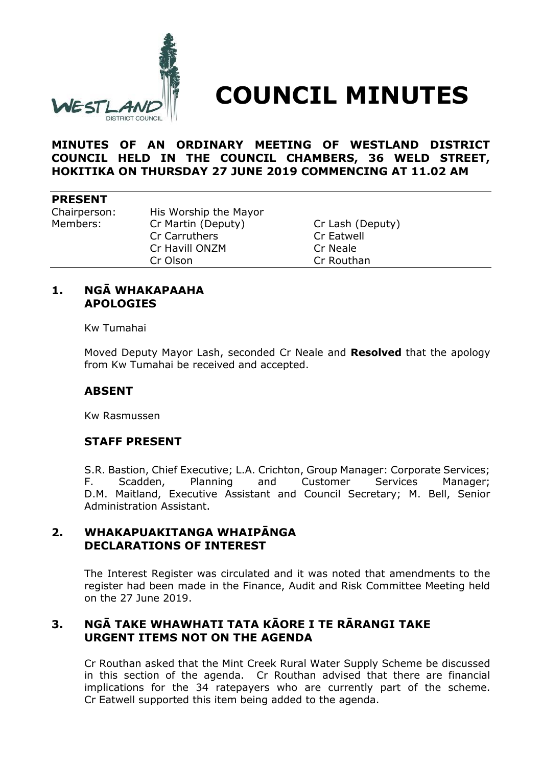

# **COUNCIL MINUTES**

**MINUTES OF AN ORDINARY MEETING OF WESTLAND DISTRICT COUNCIL HELD IN THE COUNCIL CHAMBERS, 36 WELD STREET, HOKITIKA ON THURSDAY 27 JUNE 2019 COMMENCING AT 11.02 AM**

#### **PRESENT**

Chairperson: His Worship the Mayor Members: Cr Martin (Deputy) Cr Lash (Deputy) Cr Carruthers Cr Eatwell Cr Havill ONZM Cr Neale Cr Olson Cr Routhan

#### **1. NGĀ WHAKAPAAHA APOLOGIES**

Kw Tumahai

Moved Deputy Mayor Lash, seconded Cr Neale and **Resolved** that the apology from Kw Tumahai be received and accepted.

#### **ABSENT**

Kw Rasmussen

## **STAFF PRESENT**

S.R. Bastion, Chief Executive; L.A. Crichton, Group Manager: Corporate Services; F. Scadden, Planning and Customer Services Manager; D.M. Maitland, Executive Assistant and Council Secretary; M. Bell, Senior Administration Assistant.

## **2. WHAKAPUAKITANGA WHAIPĀNGA DECLARATIONS OF INTEREST**

The Interest Register was circulated and it was noted that amendments to the register had been made in the Finance, Audit and Risk Committee Meeting held on the 27 June 2019.

# **3. NGĀ TAKE WHAWHATI TATA KĀORE I TE RĀRANGI TAKE URGENT ITEMS NOT ON THE AGENDA**

Cr Routhan asked that the Mint Creek Rural Water Supply Scheme be discussed in this section of the agenda. Cr Routhan advised that there are financial implications for the 34 ratepayers who are currently part of the scheme. Cr Eatwell supported this item being added to the agenda.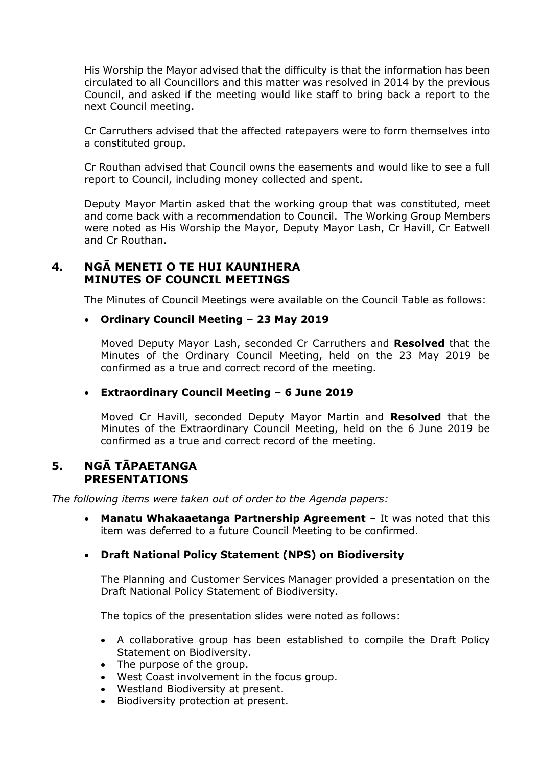His Worship the Mayor advised that the difficulty is that the information has been circulated to all Councillors and this matter was resolved in 2014 by the previous Council, and asked if the meeting would like staff to bring back a report to the next Council meeting.

Cr Carruthers advised that the affected ratepayers were to form themselves into a constituted group.

Cr Routhan advised that Council owns the easements and would like to see a full report to Council, including money collected and spent.

Deputy Mayor Martin asked that the working group that was constituted, meet and come back with a recommendation to Council. The Working Group Members were noted as His Worship the Mayor, Deputy Mayor Lash, Cr Havill, Cr Eatwell and Cr Routhan.

# **4. NGĀ MENETI O TE HUI KAUNIHERA MINUTES OF COUNCIL MEETINGS**

The Minutes of Council Meetings were available on the Council Table as follows:

#### **Ordinary Council Meeting – 23 May 2019**

Moved Deputy Mayor Lash, seconded Cr Carruthers and **Resolved** that the Minutes of the Ordinary Council Meeting, held on the 23 May 2019 be confirmed as a true and correct record of the meeting.

#### **Extraordinary Council Meeting – 6 June 2019**

Moved Cr Havill, seconded Deputy Mayor Martin and **Resolved** that the Minutes of the Extraordinary Council Meeting, held on the 6 June 2019 be confirmed as a true and correct record of the meeting.

#### **5. NGĀ TĀPAETANGA PRESENTATIONS**

*The following items were taken out of order to the Agenda papers:*

 **Manatu Whakaaetanga Partnership Agreement** – It was noted that this item was deferred to a future Council Meeting to be confirmed.

#### **Draft National Policy Statement (NPS) on Biodiversity**

The Planning and Customer Services Manager provided a presentation on the Draft National Policy Statement of Biodiversity.

The topics of the presentation slides were noted as follows:

- A collaborative group has been established to compile the Draft Policy Statement on Biodiversity.
- The purpose of the group.
- West Coast involvement in the focus group.
- Westland Biodiversity at present.
- Biodiversity protection at present.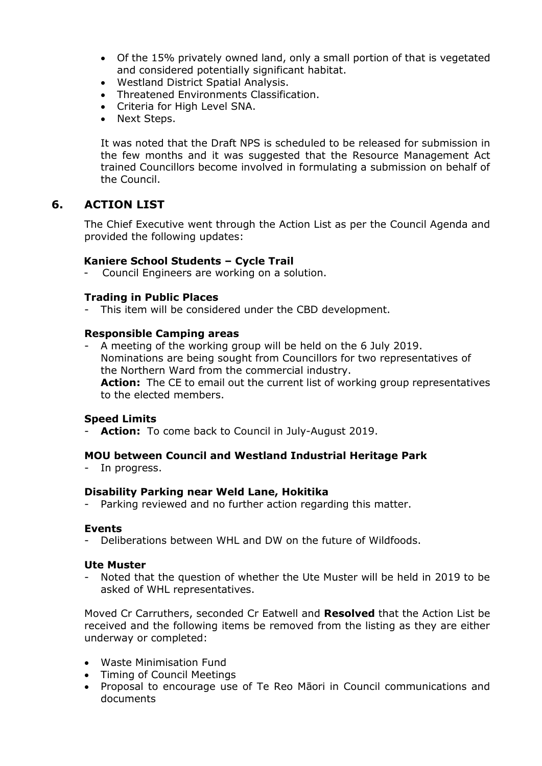- Of the 15% privately owned land, only a small portion of that is vegetated and considered potentially significant habitat.
- Westland District Spatial Analysis.
- Threatened Environments Classification.
- Criteria for High Level SNA.
- Next Steps.

It was noted that the Draft NPS is scheduled to be released for submission in the few months and it was suggested that the Resource Management Act trained Councillors become involved in formulating a submission on behalf of the Council.

# **6. ACTION LIST**

The Chief Executive went through the Action List as per the Council Agenda and provided the following updates:

#### **Kaniere School Students – Cycle Trail**

Council Engineers are working on a solution.

#### **Trading in Public Places**

This item will be considered under the CBD development.

#### **Responsible Camping areas**

- A meeting of the working group will be held on the 6 July 2019. Nominations are being sought from Councillors for two representatives of the Northern Ward from the commercial industry. **Action:** The CE to email out the current list of working group representatives to the elected members.

#### **Speed Limits**

Action: To come back to Council in July-August 2019.

#### **MOU between Council and Westland Industrial Heritage Park**

- In progress.

#### **Disability Parking near Weld Lane, Hokitika**

- Parking reviewed and no further action regarding this matter.

#### **Events**

- Deliberations between WHL and DW on the future of Wildfoods.

#### **Ute Muster**

- Noted that the question of whether the Ute Muster will be held in 2019 to be asked of WHL representatives.

Moved Cr Carruthers, seconded Cr Eatwell and **Resolved** that the Action List be received and the following items be removed from the listing as they are either underway or completed:

- Waste Minimisation Fund
- Timing of Council Meetings
- Proposal to encourage use of Te Reo Māori in Council communications and documents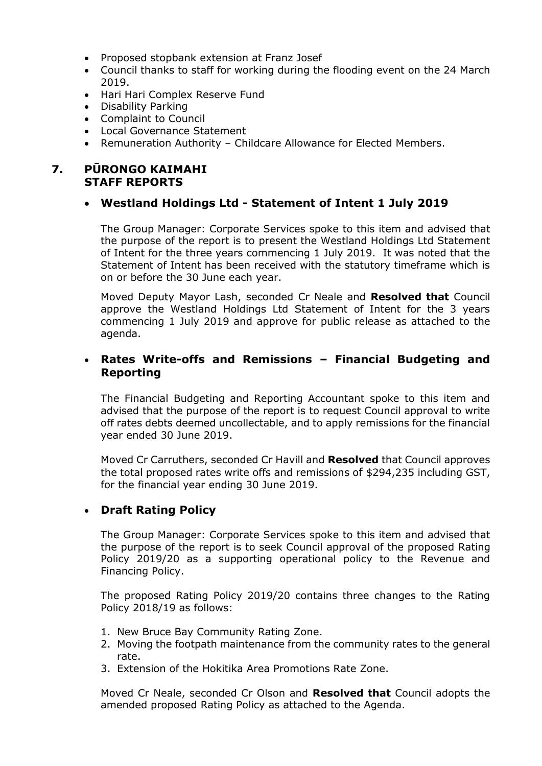- Proposed stopbank extension at Franz Josef
- Council thanks to staff for working during the flooding event on the 24 March 2019.
- Hari Hari Complex Reserve Fund
- Disability Parking
- Complaint to Council
- Local Governance Statement
- Remuneration Authority Childcare Allowance for Elected Members.

## **7. PŪRONGO KAIMAHI STAFF REPORTS**

#### **Westland Holdings Ltd - Statement of Intent 1 July 2019**

The Group Manager: Corporate Services spoke to this item and advised that the purpose of the report is to present the Westland Holdings Ltd Statement of Intent for the three years commencing 1 July 2019. It was noted that the Statement of Intent has been received with the statutory timeframe which is on or before the 30 June each year.

Moved Deputy Mayor Lash, seconded Cr Neale and **Resolved that** Council approve the Westland Holdings Ltd Statement of Intent for the 3 years commencing 1 July 2019 and approve for public release as attached to the agenda.

## **Rates Write-offs and Remissions – Financial Budgeting and Reporting**

The Financial Budgeting and Reporting Accountant spoke to this item and advised that the purpose of the report is to request Council approval to write off rates debts deemed uncollectable, and to apply remissions for the financial year ended 30 June 2019.

Moved Cr Carruthers, seconded Cr Havill and **Resolved** that Council approves the total proposed rates write offs and remissions of \$294,235 including GST, for the financial year ending 30 June 2019.

## **Draft Rating Policy**

The Group Manager: Corporate Services spoke to this item and advised that the purpose of the report is to seek Council approval of the proposed Rating Policy 2019/20 as a supporting operational policy to the Revenue and Financing Policy.

The proposed Rating Policy 2019/20 contains three changes to the Rating Policy 2018/19 as follows:

- 1. New Bruce Bay Community Rating Zone.
- 2. Moving the footpath maintenance from the community rates to the general rate.
- 3. Extension of the Hokitika Area Promotions Rate Zone.

Moved Cr Neale, seconded Cr Olson and **Resolved that** Council adopts the amended proposed Rating Policy as attached to the Agenda.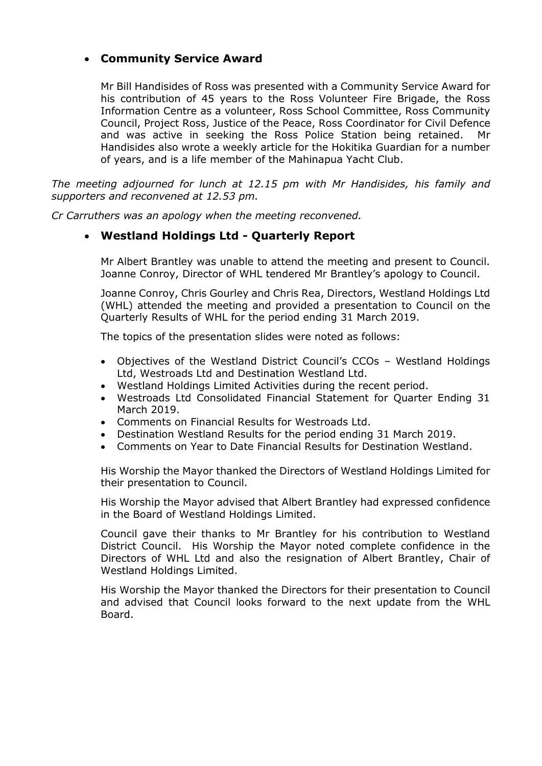# **Community Service Award**

Mr Bill Handisides of Ross was presented with a Community Service Award for his contribution of 45 years to the Ross Volunteer Fire Brigade, the Ross Information Centre as a volunteer, Ross School Committee, Ross Community Council, Project Ross, Justice of the Peace, Ross Coordinator for Civil Defence and was active in seeking the Ross Police Station being retained. Handisides also wrote a weekly article for the Hokitika Guardian for a number of years, and is a life member of the Mahinapua Yacht Club.

*The meeting adjourned for lunch at 12.15 pm with Mr Handisides, his family and supporters and reconvened at 12.53 pm.*

*Cr Carruthers was an apology when the meeting reconvened.*

## **Westland Holdings Ltd - Quarterly Report**

Mr Albert Brantley was unable to attend the meeting and present to Council. Joanne Conroy, Director of WHL tendered Mr Brantley's apology to Council.

Joanne Conroy, Chris Gourley and Chris Rea, Directors, Westland Holdings Ltd (WHL) attended the meeting and provided a presentation to Council on the Quarterly Results of WHL for the period ending 31 March 2019.

The topics of the presentation slides were noted as follows:

- Objectives of the Westland District Council's CCOs Westland Holdings Ltd, Westroads Ltd and Destination Westland Ltd.
- Westland Holdings Limited Activities during the recent period.
- Westroads Ltd Consolidated Financial Statement for Quarter Ending 31 March 2019.
- Comments on Financial Results for Westroads Ltd.
- Destination Westland Results for the period ending 31 March 2019.
- Comments on Year to Date Financial Results for Destination Westland.

His Worship the Mayor thanked the Directors of Westland Holdings Limited for their presentation to Council.

His Worship the Mayor advised that Albert Brantley had expressed confidence in the Board of Westland Holdings Limited.

Council gave their thanks to Mr Brantley for his contribution to Westland District Council. His Worship the Mayor noted complete confidence in the Directors of WHL Ltd and also the resignation of Albert Brantley, Chair of Westland Holdings Limited.

His Worship the Mayor thanked the Directors for their presentation to Council and advised that Council looks forward to the next update from the WHL Board.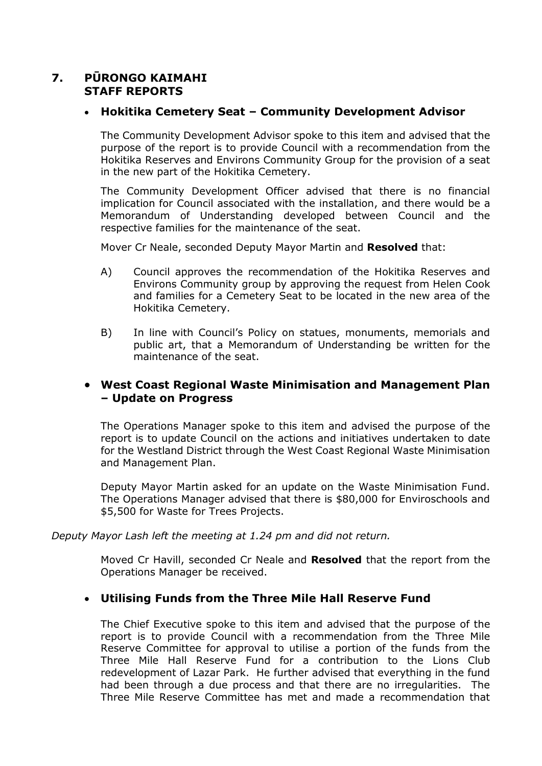# **7. PŪRONGO KAIMAHI STAFF REPORTS**

## **Hokitika Cemetery Seat – Community Development Advisor**

The Community Development Advisor spoke to this item and advised that the purpose of the report is to provide Council with a recommendation from the Hokitika Reserves and Environs Community Group for the provision of a seat in the new part of the Hokitika Cemetery.

The Community Development Officer advised that there is no financial implication for Council associated with the installation, and there would be a Memorandum of Understanding developed between Council and the respective families for the maintenance of the seat.

Mover Cr Neale, seconded Deputy Mayor Martin and **Resolved** that:

- A) Council approves the recommendation of the Hokitika Reserves and Environs Community group by approving the request from Helen Cook and families for a Cemetery Seat to be located in the new area of the Hokitika Cemetery.
- B) In line with Council's Policy on statues, monuments, memorials and public art, that a Memorandum of Understanding be written for the maintenance of the seat.

## **West Coast Regional Waste Minimisation and Management Plan – Update on Progress**

The Operations Manager spoke to this item and advised the purpose of the report is to update Council on the actions and initiatives undertaken to date for the Westland District through the West Coast Regional Waste Minimisation and Management Plan.

Deputy Mayor Martin asked for an update on the Waste Minimisation Fund. The Operations Manager advised that there is \$80,000 for Enviroschools and \$5,500 for Waste for Trees Projects.

*Deputy Mayor Lash left the meeting at 1.24 pm and did not return.*

Moved Cr Havill, seconded Cr Neale and **Resolved** that the report from the Operations Manager be received.

## **Utilising Funds from the Three Mile Hall Reserve Fund**

The Chief Executive spoke to this item and advised that the purpose of the report is to provide Council with a recommendation from the Three Mile Reserve Committee for approval to utilise a portion of the funds from the Three Mile Hall Reserve Fund for a contribution to the Lions Club redevelopment of Lazar Park. He further advised that everything in the fund had been through a due process and that there are no irregularities. The Three Mile Reserve Committee has met and made a recommendation that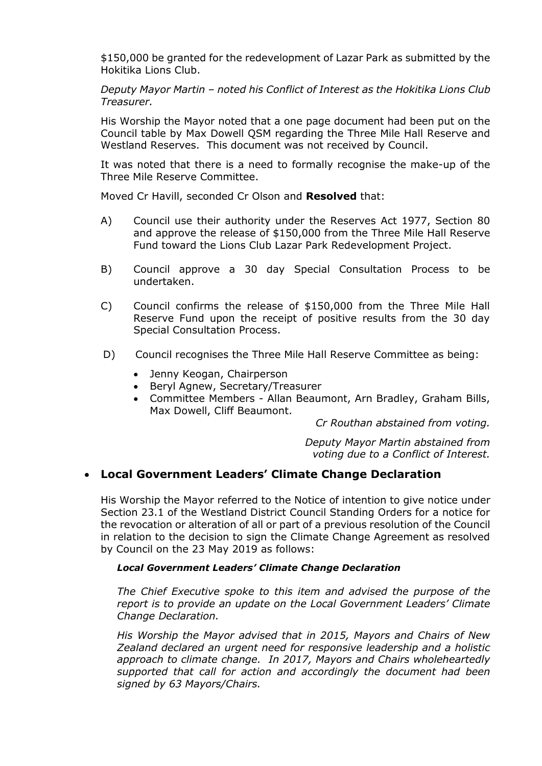\$150,000 be granted for the redevelopment of Lazar Park as submitted by the Hokitika Lions Club.

*Deputy Mayor Martin – noted his Conflict of Interest as the Hokitika Lions Club Treasurer.*

His Worship the Mayor noted that a one page document had been put on the Council table by Max Dowell QSM regarding the Three Mile Hall Reserve and Westland Reserves. This document was not received by Council.

It was noted that there is a need to formally recognise the make-up of the Three Mile Reserve Committee.

Moved Cr Havill, seconded Cr Olson and **Resolved** that:

- A) Council use their authority under the Reserves Act 1977, Section 80 and approve the release of \$150,000 from the Three Mile Hall Reserve Fund toward the Lions Club Lazar Park Redevelopment Project.
- B) Council approve a 30 day Special Consultation Process to be undertaken.
- C) Council confirms the release of \$150,000 from the Three Mile Hall Reserve Fund upon the receipt of positive results from the 30 day Special Consultation Process.
- D) Council recognises the Three Mile Hall Reserve Committee as being:
	- Jenny Keogan, Chairperson
	- Beryl Agnew, Secretary/Treasurer
	- Committee Members Allan Beaumont, Arn Bradley, Graham Bills, Max Dowell, Cliff Beaumont.

*Cr Routhan abstained from voting.*

*Deputy Mayor Martin abstained from voting due to a Conflict of Interest.*

## **Local Government Leaders' Climate Change Declaration**

His Worship the Mayor referred to the Notice of intention to give notice under Section 23.1 of the Westland District Council Standing Orders for a notice for the revocation or alteration of all or part of a previous resolution of the Council in relation to the decision to sign the Climate Change Agreement as resolved by Council on the 23 May 2019 as follows:

#### *Local Government Leaders' Climate Change Declaration*

*The Chief Executive spoke to this item and advised the purpose of the report is to provide an update on the Local Government Leaders' Climate Change Declaration.* 

*His Worship the Mayor advised that in 2015, Mayors and Chairs of New Zealand declared an urgent need for responsive leadership and a holistic approach to climate change. In 2017, Mayors and Chairs wholeheartedly supported that call for action and accordingly the document had been signed by 63 Mayors/Chairs.*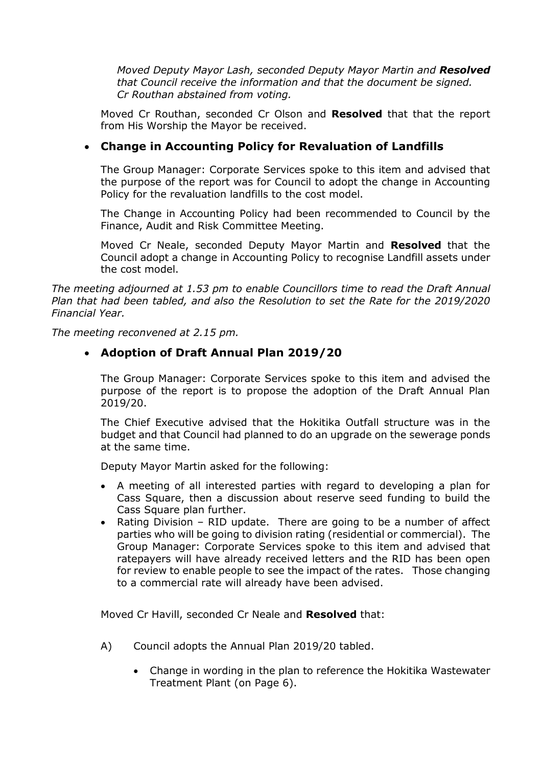*Moved Deputy Mayor Lash, seconded Deputy Mayor Martin and Resolved that Council receive the information and that the document be signed. Cr Routhan abstained from voting.*

Moved Cr Routhan, seconded Cr Olson and **Resolved** that that the report from His Worship the Mayor be received.

# **Change in Accounting Policy for Revaluation of Landfills**

The Group Manager: Corporate Services spoke to this item and advised that the purpose of the report was for Council to adopt the change in Accounting Policy for the revaluation landfills to the cost model.

The Change in Accounting Policy had been recommended to Council by the Finance, Audit and Risk Committee Meeting.

Moved Cr Neale, seconded Deputy Mayor Martin and **Resolved** that the Council adopt a change in Accounting Policy to recognise Landfill assets under the cost model.

*The meeting adjourned at 1.53 pm to enable Councillors time to read the Draft Annual Plan that had been tabled, and also the Resolution to set the Rate for the 2019/2020 Financial Year.* 

*The meeting reconvened at 2.15 pm.*

## **Adoption of Draft Annual Plan 2019/20**

The Group Manager: Corporate Services spoke to this item and advised the purpose of the report is to propose the adoption of the Draft Annual Plan 2019/20.

The Chief Executive advised that the Hokitika Outfall structure was in the budget and that Council had planned to do an upgrade on the sewerage ponds at the same time.

Deputy Mayor Martin asked for the following:

- A meeting of all interested parties with regard to developing a plan for Cass Square, then a discussion about reserve seed funding to build the Cass Square plan further.
- Rating Division RID update. There are going to be a number of affect parties who will be going to division rating (residential or commercial). The Group Manager: Corporate Services spoke to this item and advised that ratepayers will have already received letters and the RID has been open for review to enable people to see the impact of the rates. Those changing to a commercial rate will already have been advised.

Moved Cr Havill, seconded Cr Neale and **Resolved** that:

- A) Council adopts the Annual Plan 2019/20 tabled.
	- Change in wording in the plan to reference the Hokitika Wastewater Treatment Plant (on Page 6).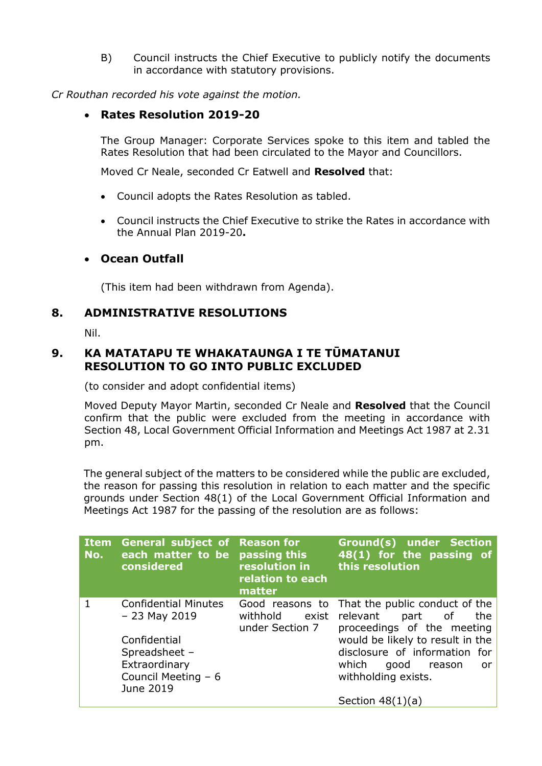B) Council instructs the Chief Executive to publicly notify the documents in accordance with statutory provisions.

*Cr Routhan recorded his vote against the motion.*

## **Rates Resolution 2019-20**

The Group Manager: Corporate Services spoke to this item and tabled the Rates Resolution that had been circulated to the Mayor and Councillors.

Moved Cr Neale, seconded Cr Eatwell and **Resolved** that:

- Council adopts the Rates Resolution as tabled.
- Council instructs the Chief Executive to strike the Rates in accordance with the Annual Plan 2019-20**.**

## **Ocean Outfall**

(This item had been withdrawn from Agenda).

## **8. ADMINISTRATIVE RESOLUTIONS**

Nil.

# **9. KA MATATAPU TE WHAKATAUNGA I TE TŪMATANUI RESOLUTION TO GO INTO PUBLIC EXCLUDED**

(to consider and adopt confidential items)

Moved Deputy Mayor Martin, seconded Cr Neale and **Resolved** that the Council confirm that the public were excluded from the meeting in accordance with Section 48, Local Government Official Information and Meetings Act 1987 at 2.31 pm.

The general subject of the matters to be considered while the public are excluded, the reason for passing this resolution in relation to each matter and the specific grounds under Section 48(1) of the Local Government Official Information and Meetings Act 1987 for the passing of the resolution are as follows:

| <b>Item</b><br>No. | <b>General subject of Reason for</b><br>each matter to be passing this<br>considered | resolution in<br>relation to each<br>matter             | Ground(s) under Section<br>48(1) for the passing of<br>this resolution                        |
|--------------------|--------------------------------------------------------------------------------------|---------------------------------------------------------|-----------------------------------------------------------------------------------------------|
| 1                  | <b>Confidential Minutes</b><br>$-23$ May 2019                                        | Good reasons to<br>withhold<br>exist<br>under Section 7 | That the public conduct of the<br>relevant<br>the<br>part<br>of<br>proceedings of the meeting |
|                    | Confidential<br>Spreadsheet -                                                        |                                                         | would be likely to result in the<br>disclosure of information for                             |
|                    | Extraordinary                                                                        |                                                         | which<br>good<br>reason<br>or                                                                 |
|                    | Council Meeting - 6<br>June 2019                                                     |                                                         | withholding exists.                                                                           |
|                    |                                                                                      |                                                         | Section $48(1)(a)$                                                                            |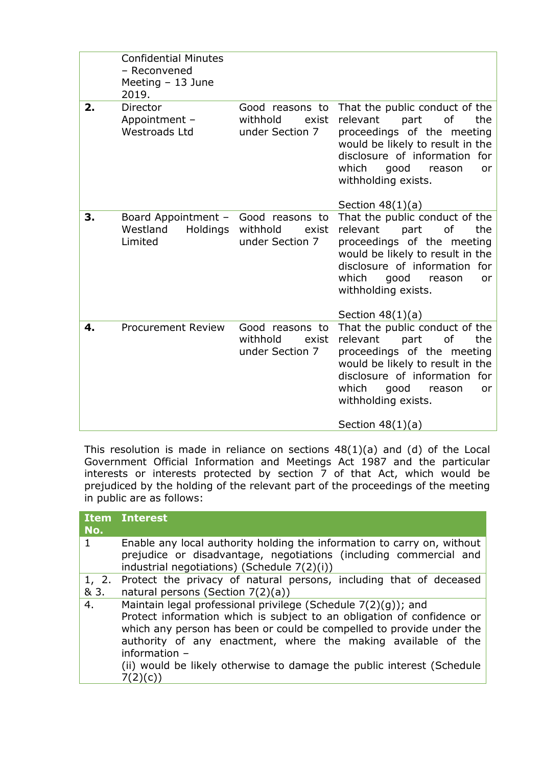|    | <b>Confidential Minutes</b><br>- Reconvened<br>Meeting - 13 June<br>2019. |                                                         |                                                                                                                                                                                                                                                         |
|----|---------------------------------------------------------------------------|---------------------------------------------------------|---------------------------------------------------------------------------------------------------------------------------------------------------------------------------------------------------------------------------------------------------------|
| 2. | Director<br>Appointment -<br><b>Westroads Ltd</b>                         | Good reasons to<br>withhold<br>exist<br>under Section 7 | That the public conduct of the<br>relevant<br>part<br>of<br>the<br>proceedings of the meeting<br>would be likely to result in the<br>disclosure of information for<br>which<br>good<br>reason<br><b>or</b><br>withholding exists.<br>Section $48(1)(a)$ |
| 3. | Board Appointment -<br>Westland<br>Holdings<br>Limited                    | Good reasons to<br>withhold<br>exist<br>under Section 7 | That the public conduct of the<br>relevant<br>part<br>0f<br>the<br>proceedings of the meeting<br>would be likely to result in the<br>disclosure of information for<br>which<br>good<br>reason<br><b>or</b><br>withholding exists.<br>Section $48(1)(a)$ |
| 4. | <b>Procurement Review</b>                                                 | Good reasons to<br>withhold<br>exist<br>under Section 7 | That the public conduct of the<br>relevant<br>part<br>of<br>the<br>proceedings of the meeting<br>would be likely to result in the<br>disclosure of information for<br>which<br>good<br>reason<br><b>or</b><br>withholding exists.<br>Section $48(1)(a)$ |

This resolution is made in reliance on sections 48(1)(a) and (d) of the Local Government Official Information and Meetings Act 1987 and the particular interests or interests protected by section 7 of that Act, which would be prejudiced by the holding of the relevant part of the proceedings of the meeting in public are as follows:

| No.           | <b>Item Interest</b>                                                                                                                                                                                                                                                                                                                                                        |
|---------------|-----------------------------------------------------------------------------------------------------------------------------------------------------------------------------------------------------------------------------------------------------------------------------------------------------------------------------------------------------------------------------|
|               | Enable any local authority holding the information to carry on, without<br>prejudice or disadvantage, negotiations (including commercial and<br>industrial negotiations) (Schedule 7(2)(i))                                                                                                                                                                                 |
| 1, 2.<br>& 3. | Protect the privacy of natural persons, including that of deceased<br>natural persons (Section $7(2)(a)$ )                                                                                                                                                                                                                                                                  |
| 4.            | Maintain legal professional privilege (Schedule 7(2)(g)); and<br>Protect information which is subject to an obligation of confidence or<br>which any person has been or could be compelled to provide under the<br>authority of any enactment, where the making available of the<br>information -<br>(ii) would be likely otherwise to damage the public interest (Schedule |